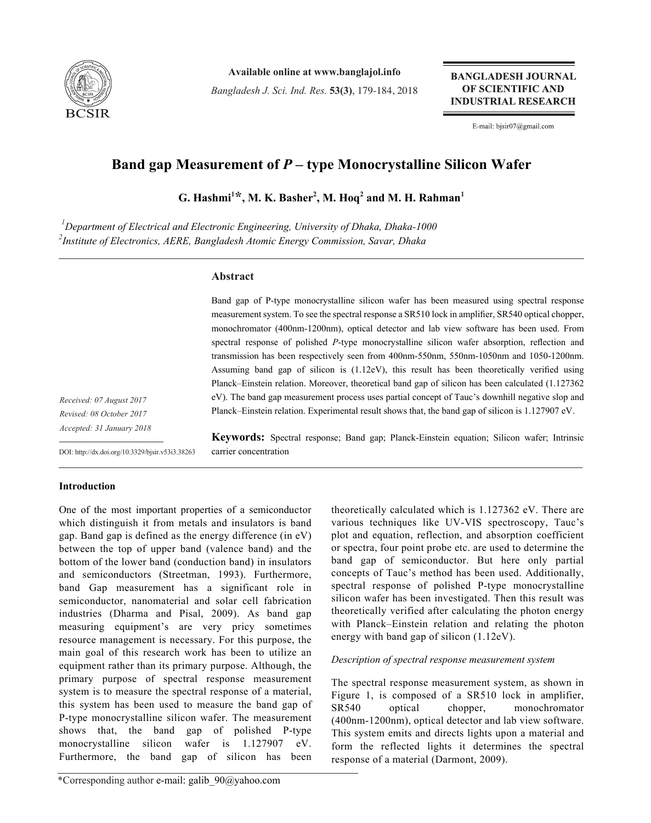

**Available online at www.banglajol.info**

*Bangladesh J. Sci. Ind. Res.* **53(3)**, 179-184, 2018

**BANGLADESH JOURNAL** OF SCIENTIFIC AND **INDUSTRIAL RESEARCH** 

E-mail: bjsir07@gmail.com

# **Band gap Measurement of** *P* **– type Monocrystalline Silicon Wafer**

 $G$ . Hashmi<sup>1\*</sup>, M. K. Basher<sup>2</sup>, M. Hoq<sup>2</sup> and M. H. Rahman<sup>1</sup>

*1 Department of Electrical and Electronic Engineering, University of Dhaka, Dhaka-1000 2 Institute of Electronics, AERE, Bangladesh Atomic Energy Commission, Savar, Dhaka*

carrier concentration

# **Abstract**

Band gap of P-type monocrystalline silicon wafer has been measured using spectral response measurement system. To see the spectral response a SR510 lock in amplifier, SR540 optical chopper, monochromator (400nm-1200nm), optical detector and lab view software has been used. From spectral response of polished *P*-type monocrystalline silicon wafer absorption, reflection and transmission has been respectively seen from 400nm-550nm, 550nm-1050nm and 1050-1200nm. Assuming band gap of silicon is (1.12eV), this result has been theoretically verified using Planck–Einstein relation. Moreover, theoretical band gap of silicon has been calculated (1.127362 eV). The band gap measurement process uses partial concept of Tauc's downhill negative slop and Planck–Einstein relation. Experimental result shows that, the band gap of silicon is 1.127907 eV.

**Keywords:** Spectral response; Band gap; Planck-Einstein equation; Silicon wafer; Intrinsic

*Received: 07 August 2017 Revised: 08 October 2017 Accepted: 31 January 2018*

DOI: http://dx.doi.org/10.3329/bjsir.v53i3.38263

# **Introduction**

One of the most important properties of a semiconductor which distinguish it from metals and insulators is band gap. Band gap is defined as the energy difference (in eV) between the top of upper band (valence band) and the bottom of the lower band (conduction band) in insulators and semiconductors (Streetman, 1993). Furthermore, band Gap measurement has a significant role in semiconductor, nanomaterial and solar cell fabrication industries (Dharma and Pisal, 2009). As band gap measuring equipment's are very pricy sometimes resource management is necessary. For this purpose, the main goal of this research work has been to utilize an equipment rather than its primary purpose. Although, the primary purpose of spectral response measurement system is to measure the spectral response of a material, this system has been used to measure the band gap of P-type monocrystalline silicon wafer. The measurement shows that, the band gap of polished P-type monocrystalline silicon wafer is 1.127907 eV. Furthermore, the band gap of silicon has been

theoretically calculated which is 1.127362 eV. There are various techniques like UV-VIS spectroscopy, Tauc's plot and equation, reflection, and absorption coefficient or spectra, four point probe etc. are used to determine the band gap of semiconductor. But here only partial concepts of Tauc's method has been used. Additionally, spectral response of polished P-type monocrystalline silicon wafer has been investigated. Then this result was theoretically verified after calculating the photon energy with Planck–Einstein relation and relating the photon energy with band gap of silicon (1.12eV).

# *Description of spectral response measurement system*

The spectral response measurement system, as shown in Figure 1, is composed of a SR510 lock in amplifier, SR540 optical chopper, monochromator (400nm-1200nm), optical detector and lab view software. This system emits and directs lights upon a material and form the reflected lights it determines the spectral response of a material (Darmont, 2009).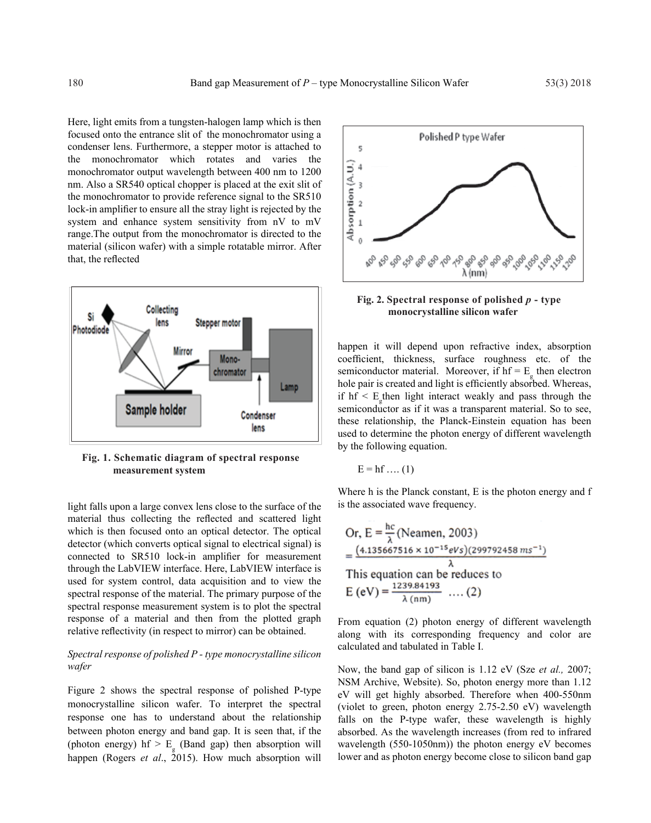Here, light emits from a tungsten-halogen lamp which is then focused onto the entrance slit of the monochromator using a condenser lens. Furthermore, a stepper motor is attached to the monochromator which rotates and varies the monochromator output wavelength between 400 nm to 1200 nm. Also a SR540 optical chopper is placed at the exit slit of the monochromator to provide reference signal to the SR510 lock-in amplifier to ensure all the stray light is rejected by the system and enhance system sensitivity from nV to mV range.The output from the monochromator is directed to the material (silicon wafer) with a simple rotatable mirror. After that, the reflected



**Fig. 1. Schematic diagram of spectral response measurement system**

light falls upon a large convex lens close to the surface of the material thus collecting the reflected and scattered light which is then focused onto an optical detector. The optical detector (which converts optical signal to electrical signal) is connected to SR510 lock-in amplifier for measurement through the LabVIEW interface. Here, LabVIEW interface is used for system control, data acquisition and to view the spectral response of the material. The primary purpose of the spectral response measurement system is to plot the spectral response of a material and then from the plotted graph relative reflectivity (in respect to mirror) can be obtained.

## *Spectral response of polished P - type monocrystalline silicon wafer*

Figure 2 shows the spectral response of polished P-type monocrystalline silicon wafer. To interpret the spectral response one has to understand about the relationship between photon energy and band gap. It is seen that, if the (photon energy) hf  $> E<sub>g</sub>$  (Band gap) then absorption will happen (Rogers *et al*., 2015). How much absorption will



## **Fig. 2. Spectral response of polished** *p* **- type monocrystalline silicon wafer**

happen it will depend upon refractive index, absorption coefficient, thickness, surface roughness etc. of the semiconductor material. Moreover, if  $hf = E<sub>g</sub>$  then electron hole pair is created and light is efficiently absorbed. Whereas, if  $hf < E_g$  then light interact weakly and pass through the semiconductor as if it was a transparent material. So to see, these relationship, the Planck-Einstein equation has been used to determine the photon energy of different wavelength by the following equation.

$$
E = hf \dots (1)
$$

Where h is the Planck constant, E is the photon energy and f is the associated wave frequency.

Or, E = 
$$
\frac{hc}{\lambda}
$$
 (Neamen, 2003)  
=  $\frac{(4.135667516 \times 10^{-15}eVs)(299792458 m s^{-1})}{\lambda}$   
This equation can be reduces to

$$
E (eV) = \frac{1239.84193}{\lambda (nm)} \dots (2)
$$

From equation (2) photon energy of different wavelength along with its corresponding frequency and color are calculated and tabulated in Table I.

Now, the band gap of silicon is 1.12 eV (Sze *et al.,* 2007; NSM Archive, Website). So, photon energy more than 1.12 eV will get highly absorbed. Therefore when 400-550nm (violet to green, photon energy 2.75-2.50 eV) wavelength falls on the P-type wafer, these wavelength is highly absorbed. As the wavelength increases (from red to infrared wavelength (550-1050nm)) the photon energy eV becomes lower and as photon energy become close to silicon band gap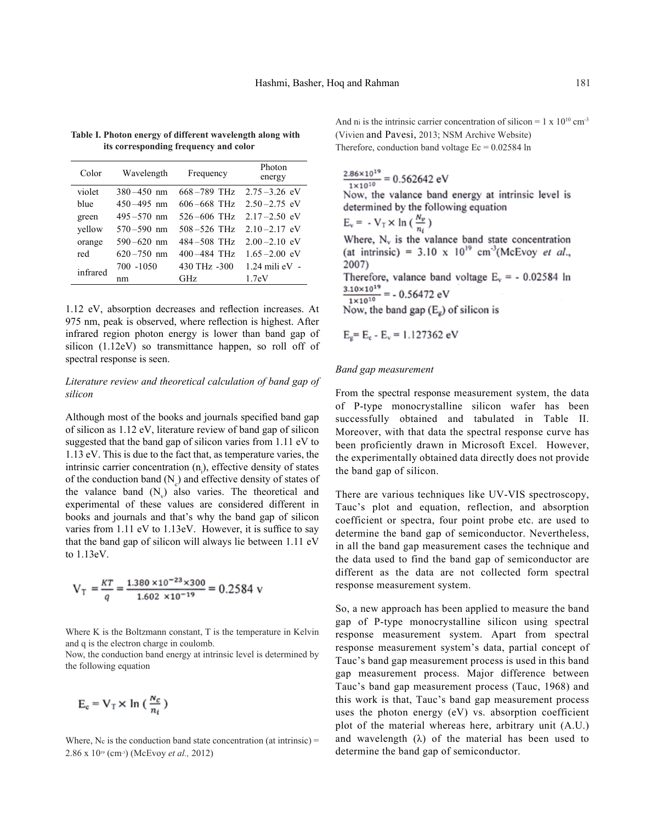| Color    | Wavelength     | Frequency       | Photon<br>energy   |  |
|----------|----------------|-----------------|--------------------|--|
| violet   | $380 - 450$ nm | $668 - 789$ THz | $2.75 - 3.26$ eV   |  |
| blue     | $450 - 495$ nm | $606 - 668$ THz | $2.50 - 2.75$ eV   |  |
| green    | $495 - 570$ nm | $526 - 606$ THz | $2.17 - 2.50$ eV   |  |
| yellow   | $570 - 590$ nm | $508 - 526$ THz | $2.10 - 2.17$ eV   |  |
| orange   | $590 - 620$ nm | $484 - 508$ THz | $2.00 - 2.10$ eV   |  |
| red      | $620 - 750$ nm | $400 - 484$ THz | $1.65 - 2.00$ eV   |  |
| infrared | 700 -1050      | 430 THz -300    | $1.24$ mili eV $-$ |  |
|          | nm             | <b>GHz</b>      | 1.7 <sub>e</sub> V |  |

**Table I. Photon energy of different wavelength along with its corresponding frequency and color**

1.12 eV, absorption decreases and reflection increases. At 975 nm, peak is observed, where reflection is highest. After infrared region photon energy is lower than band gap of silicon (1.12eV) so transmittance happen, so roll off of spectral response is seen.

## *Literature review and theoretical calculation of band gap of silicon*

Although most of the books and journals specified band gap of silicon as 1.12 eV, literature review of band gap of silicon suggested that the band gap of silicon varies from 1.11 eV to 1.13 eV. This is due to the fact that, as temperature varies, the intrinsic carrier concentration  $(n<sub>i</sub>)$ , effective density of states of the conduction band  $(N_c)$  and effective density of states of the valance band  $(N_v)$  also varies. The theoretical and experimental of these values are considered different in books and journals and that's why the band gap of silicon varies from 1.11 eV to 1.13eV. However, it is suffice to say that the band gap of silicon will always lie between 1.11 eV to 1.13eV.

$$
V_T = \frac{KT}{q} = \frac{1.380 \times 10^{-23} \times 300}{1.602 \times 10^{-19}} = 0.2584 \text{ v}
$$

Where K is the Boltzmann constant, T is the temperature in Kelvin and q is the electron charge in coulomb.

Now, the conduction band energy at intrinsic level is determined by the following equation

$$
E_c = V_T \times \ln\left(\frac{N_c}{n_i}\right)
$$

Where,  $N_c$  is the conduction band state concentration (at intrinsic) = 2.86 x 1019 (cm-3) (McEvoy *et al.,* 2012)

And ni is the intrinsic carrier concentration of silicon =  $1 \times 10^{10}$  cm<sup>-3</sup> (Vivien and Pavesi, 2013; NSM Archive Website) Therefore, conduction band voltage  $Ec = 0.02584$  ln

 $\frac{2.86 \times 10^{19}}{1 \times 10^{10}} = 0.562642 \text{ eV}$ 

Now, the valance band energy at intrinsic level is determined by the following equation

$$
E_v = -V_T \times \ln\left(\frac{N_v}{n}\right)
$$

Where,  $N_v$  is the valance band state concentration (at intrinsic) = 3.10 x  $10^{19}$  cm<sup>-3</sup>(McEvoy et al., 2007)

Therefore, valance band voltage  $E_v = -0.02584$  ln  $\frac{3.10\times10^{19}}{1\times10^{10}} = -0.56472 \text{ eV}$ 

Now, the band gap  $(E_g)$  of silicon is

$$
E_g = E_c - E_v = 1.127362 \text{ eV}
$$

#### *Band gap measurement*

From the spectral response measurement system, the data of P-type monocrystalline silicon wafer has been successfully obtained and tabulated in Table II. Moreover, with that data the spectral response curve has been proficiently drawn in Microsoft Excel. However, the experimentally obtained data directly does not provide the band gap of silicon.

There are various techniques like UV-VIS spectroscopy, Tauc's plot and equation, reflection, and absorption coefficient or spectra, four point probe etc. are used to determine the band gap of semiconductor. Nevertheless, in all the band gap measurement cases the technique and the data used to find the band gap of semiconductor are different as the data are not collected form spectral response measurement system.

So, a new approach has been applied to measure the band gap of P-type monocrystalline silicon using spectral response measurement system. Apart from spectral response measurement system's data, partial concept of Tauc's band gap measurement process is used in this band gap measurement process. Major difference between Tauc's band gap measurement process (Tauc, 1968) and this work is that, Tauc's band gap measurement process uses the photon energy (eV) vs. absorption coefficient plot of the material whereas here, arbitrary unit (A.U.) and wavelength  $(\lambda)$  of the material has been used to determine the band gap of semiconductor.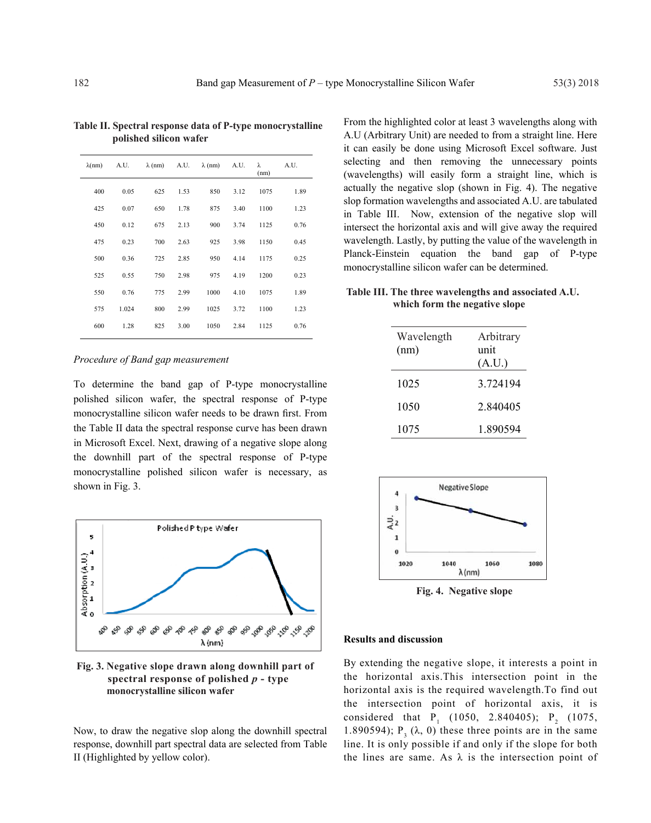| $\lambda$ (nm) | A.U.  |     |      | $\lambda$ (nm) A.U. $\lambda$ (nm) | A.U. | λ<br>(nm) | A.U. |
|----------------|-------|-----|------|------------------------------------|------|-----------|------|
| 400            | 0.05  | 625 | 1.53 | 850                                | 3.12 | 1075      | 1.89 |
| 425            | 0.07  | 650 | 1.78 | 875                                | 3.40 | 1100      | 1.23 |
| 450            | 0.12  | 675 | 2.13 | 900                                | 3.74 | 1125      | 0.76 |
| 475            | 0.23  | 700 | 2.63 | 925                                | 3.98 | 1150      | 0.45 |
| 500            | 0.36  | 725 | 2.85 | 950                                | 4.14 | 1175      | 0.25 |
| 525            | 0.55  | 750 | 2.98 | 975                                | 4.19 | 1200      | 0.23 |
| 550            | 0.76  | 775 | 2.99 | 1000                               | 4.10 | 1075      | 1.89 |
| 575            | 1.024 | 800 | 2.99 | 1025                               | 3.72 | 1100      | 1.23 |
| 600            | 1.28  | 825 | 3.00 | 1050                               | 2.84 | 1125      | 0.76 |
|                |       |     |      |                                    |      |           |      |

**Table II. Spectral response data of P-type monocrystalline polished silicon wafer**

#### *Procedure of Band gap measurement*

To determine the band gap of P-type monocrystalline polished silicon wafer, the spectral response of P-type monocrystalline silicon wafer needs to be drawn first. From the Table II data the spectral response curve has been drawn in Microsoft Excel. Next, drawing of a negative slope along the downhill part of the spectral response of P-type monocrystalline polished silicon wafer is necessary, as shown in Fig. 3.



**Fig. 3. Negative slope drawn along downhill part of spectral response of polished** *p* **- type monocrystalline silicon wafer**

Now, to draw the negative slop along the downhill spectral response, downhill part spectral data are selected from Table II (Highlighted by yellow color).

From the highlighted color at least 3 wavelengths along with A.U (Arbitrary Unit) are needed to from a straight line. Here it can easily be done using Microsoft Excel software. Just selecting and then removing the unnecessary points (wavelengths) will easily form a straight line, which is actually the negative slop (shown in Fig. 4). The negative slop formation wavelengths and associated A.U. are tabulated in Table III. Now, extension of the negative slop will intersect the horizontal axis and will give away the required wavelength. Lastly, by putting the value of the wavelength in Planck-Einstein equation the band gap of P-type monocrystalline silicon wafer can be determined.

# **Table III. The three wavelengths and associated A.U. which form the negative slope**

| Wavelength<br>(nm) | Arbitrary<br>unit<br>(A.U.) |  |  |
|--------------------|-----------------------------|--|--|
| 1025               | 3.724194                    |  |  |
| 1050               | 2.840405                    |  |  |
| 1075               | 1890594                     |  |  |



**Fig. 4. Negative slope**

#### **Results and discussion**

By extending the negative slope, it interests a point in the horizontal axis.This intersection point in the horizontal axis is the required wavelength.To find out the intersection point of horizontal axis, it is considered that  $P_1$  (1050, 2.840405);  $P_2$  (1075, 1.890594);  $P_3(\lambda, 0)$  these three points are in the same line. It is only possible if and only if the slope for both the lines are same. As  $\lambda$  is the intersection point of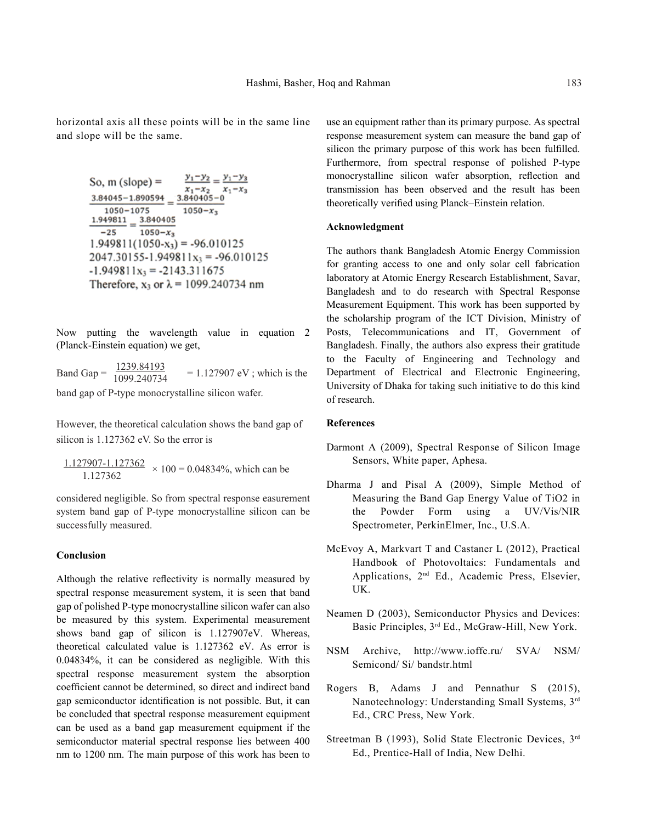horizontal axis all these points will be in the same line and slope will be the same.

So, m (slope) = 
$$
\frac{y_1 - y_2}{x_1 - x_2} = \frac{y_1 - y_3}{x_1 - x_3}
$$

$$
\frac{3.84045 - 1.890594}{1050 - 1075} = \frac{3.840405 - 0}{1050 - x_3}
$$

$$
\frac{1.949811}{-25} = \frac{3.840405}{1050 - x_3}
$$

$$
1.949811(1050 - x_3) = -96.010125
$$

$$
2047.30155 - 1.949811x_3 = -96.010125
$$

$$
-1.949811x_3 = -2143.311675
$$
Therefore, x<sub>3</sub> or  $\lambda$  = 1099.240734 nm

Now putting the wavelength value in equation 2 (Planck-Einstein equation) we get,

Band Gap =  $\frac{1239.84193}{1000.240734}$  = 1.127907 eV; which is the 1099.240734

band gap of P-type monocrystalline silicon wafer.

However, the theoretical calculation shows the band gap of silicon is 1.127362 eV. So the error is

 $\frac{1.127907 - 1.127362}{1.127362} \times 100 = 0.04834\%,$  which can be 1.127362

considered negligible. So from spectral response easurement system band gap of P-type monocrystalline silicon can be successfully measured.

## **Conclusion**

Although the relative reflectivity is normally measured by spectral response measurement system, it is seen that band gap of polished P-type monocrystalline silicon wafer can also be measured by this system. Experimental measurement shows band gap of silicon is 1.127907eV. Whereas, theoretical calculated value is 1.127362 eV. As error is 0.04834%, it can be considered as negligible. With this spectral response measurement system the absorption coefficient cannot be determined, so direct and indirect band gap semiconductor identification is not possible. But, it can be concluded that spectral response measurement equipment can be used as a band gap measurement equipment if the semiconductor material spectral response lies between 400 nm to 1200 nm. The main purpose of this work has been to

use an equipment rather than its primary purpose. As spectral response measurement system can measure the band gap of silicon the primary purpose of this work has been fulfilled. Furthermore, from spectral response of polished P-type monocrystalline silicon wafer absorption, reflection and transmission has been observed and the result has been theoretically verified using Planck–Einstein relation.

#### **Acknowledgment**

The authors thank Bangladesh Atomic Energy Commission for granting access to one and only solar cell fabrication laboratory at Atomic Energy Research Establishment, Savar, Bangladesh and to do research with Spectral Response Measurement Equipment. This work has been supported by the scholarship program of the ICT Division, Ministry of Posts, Telecommunications and IT, Government of Bangladesh. Finally, the authors also express their gratitude to the Faculty of Engineering and Technology and Department of Electrical and Electronic Engineering, University of Dhaka for taking such initiative to do this kind of research.

## **References**

- Darmont A (2009), Spectral Response of Silicon Image Sensors, White paper, Aphesa.
- Dharma J and Pisal A (2009), Simple Method of Measuring the Band Gap Energy Value of TiO2 in the Powder Form using a UV/Vis/NIR Spectrometer, PerkinElmer, Inc., U.S.A.
- McEvoy A, Markvart T and Castaner L (2012), Practical Handbook of Photovoltaics: Fundamentals and Applications, 2nd Ed., Academic Press, Elsevier, UK.
- Neamen D (2003), Semiconductor Physics and Devices: Basic Principles, 3rd Ed., McGraw-Hill, New York.
- NSM Archive, http://www.ioffe.ru/ SVA/ NSM/ Semicond/ Si/ bandstr.html
- Rogers B, Adams J and Pennathur S (2015), Nanotechnology: Understanding Small Systems, 3rd Ed., CRC Press, New York.
- Streetman B (1993), Solid State Electronic Devices, 3rd Ed., Prentice-Hall of India, New Delhi.